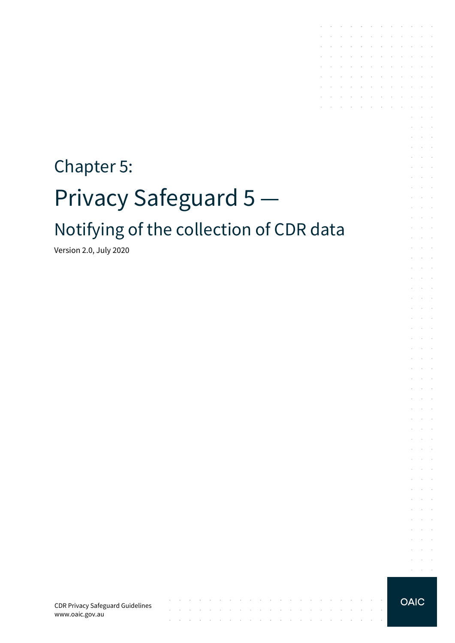# Chapter 5: Privacy Safeguard 5 Notifying of the collection of CDR data

Version 2.0, July 2020

CDR Privacy Safeguard Guidelines www.oaic.gov.au

 $\mathcal{L}$ 

contract and a state of

 $\sim$ 

the contract of the contract of the contract of the contract of the contract of

 $\sim 10$ 

the contract of the contract of the contract of

 $\sim$ 

 $\sim$ 

**OAIC** 

 $\mathcal{L}^{\text{max}}$  and  $\mathcal{L}^{\text{max}}$  $\alpha = \alpha + \beta$ 

the contract of the contract of the contract of

and the company of the company of the

**Carl Carl Carl** 

 $\sim$ 

 $\sim$ 

 $\sim$ 

÷. and a state

 $\mathcal{L}$  $\bar{z}$  $\sim$ 

 $\mathcal{L}$  $\alpha$  and  $\alpha$ 

 $\epsilon$  $\sim 10^{-1}$ 

÷  $\sim$  $\sim$ 

÷.  $\mathcal{L}^{\text{max}}$ 

 $\mathcal{L}^{\mathcal{L}}$  $\sim 10^{-1}$  .

÷.  $\sim 10^{-11}$  .

s.  $\mathcal{L}$  $\sim$  $\alpha$  and  $\alpha$ 

 $\sim$  $\sim 10^{-10}$  km

 $\mathcal{L}^{\pm}$  $\mathcal{A}^{\mathcal{A}}$  and  $\mathcal{A}^{\mathcal{A}}$ 

 $\mathcal{L}^{\mathcal{L}}$  $\mathcal{L}^{\text{max}}$  $\mathcal{L}^{\text{max}}$  and  $\mathcal{L}^{\text{max}}$ 

 $\mathcal{L}$ **Service** 

 $\sim$ **Contract** 

 $\mathcal{L}^{\mathcal{L}}$  $\alpha$  and  $\alpha$ 

 $\sim$  $\sim 10^{-11}$  .

 $\mathcal{L}$  $\sim 10^{-11}$  . and a state

 $\sim$  $\sim$ 

 $\mathcal{A}$  . The contribution of the contribution of  $\mathcal{A}$ 

the control of the control of

the control of the control of the  $\mathcal{A}^{\mathcal{A}}$  , and  $\mathcal{A}^{\mathcal{A}}$  , and  $\mathcal{A}^{\mathcal{A}}$  , and  $\mathcal{A}^{\mathcal{A}}$  , and  $\mathcal{A}^{\mathcal{A}}$ 

and the company of the company

 $\mathcal{L}^{\text{max}}$ 

 $\mathcal{L}^{\mathcal{A}}$  . The contribution of the contribution of  $\mathcal{L}^{\mathcal{A}}$ 

 $\mathcal{L}$ 

 $\mathcal{A}$  $\sim$ 

s.

÷.  $\sim$ 

t.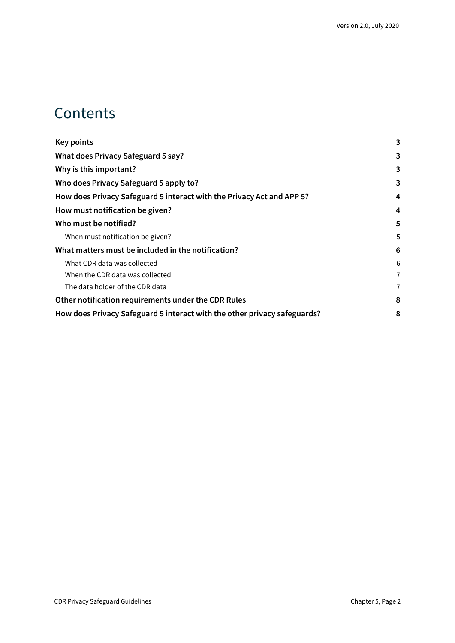### **Contents**

| 3 |
|---|
| 3 |
| 3 |
| 3 |
| 4 |
| 4 |
| 5 |
| 5 |
| 6 |
| 6 |
| 7 |
| 7 |
| 8 |
| 8 |
|   |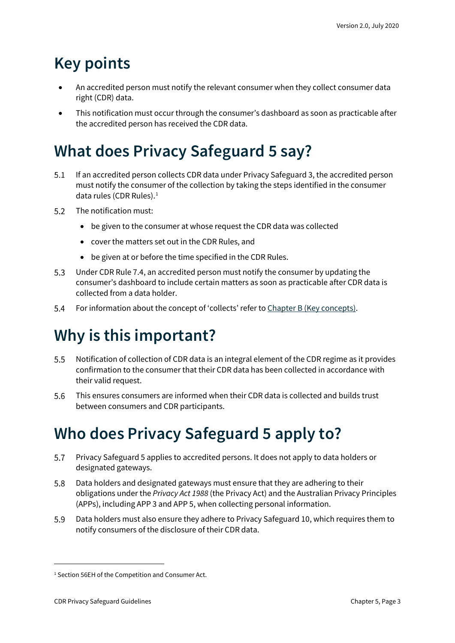# <span id="page-2-0"></span>**Key points**

- An accredited person must notify the relevant consumer when they collect consumer data right (CDR) data.
- This notification must occur through the consumer's dashboard as soon as practicable after the accredited person has received the CDR data.

# <span id="page-2-1"></span>**What does Privacy Safeguard 5 say?**

- If an accredited person collects CDR data under Privacy Safeguard 3, the accredited person  $5.1$ must notify the consumer of the collection by taking the steps identified in the consumer data rules (CDR Rules). [1](#page-2-4)
- $5.2$ The notification must:
	- be given to the consumer at whose request the CDR data was collected
	- cover the matters set out in the CDR Rules, and
	- be given at or before the time specified in the CDR Rules.
- $5.3$ Under CDR Rule 7.4, an accredited person must notify the consumer by updating the consumer's dashboard to include certain matters as soon as practicable after CDR data is collected from a data holder.
- $5.4$ For information about the concept of 'collects' refer to [Chapter B \(Key concepts\).](https://www.oaic.gov.au/consumer-data-right/cdr-privacy-safeguard-guidelines/chapter-b-key-concepts)

# <span id="page-2-2"></span>**Why is this important?**

- $5.5$ Notification of collection of CDR data is an integral element of the CDR regime as it provides confirmation to the consumer that their CDR data has been collected in accordance with their valid request.
- 5.6 This ensures consumers are informed when their CDR data is collected and builds trust between consumers and CDR participants.

# <span id="page-2-3"></span>**Who does Privacy Safeguard 5 apply to?**

- 5.7 Privacy Safeguard 5 applies to accredited persons. It does not apply to data holders or designated gateways.
- 5.8 Data holders and designated gateways must ensure that they are adhering to their obligations under the *Privacy Act 1988* (the Privacy Act) and the Australian Privacy Principles (APPs), including APP 3 and APP 5, when collecting personal information.
- 5.9 Data holders must also ensure they adhere to Privacy Safeguard 10, which requires them to notify consumers of the disclosure of their CDR data.

<span id="page-2-4"></span><sup>&</sup>lt;sup>1</sup> Section 56EH of the Competition and Consumer Act.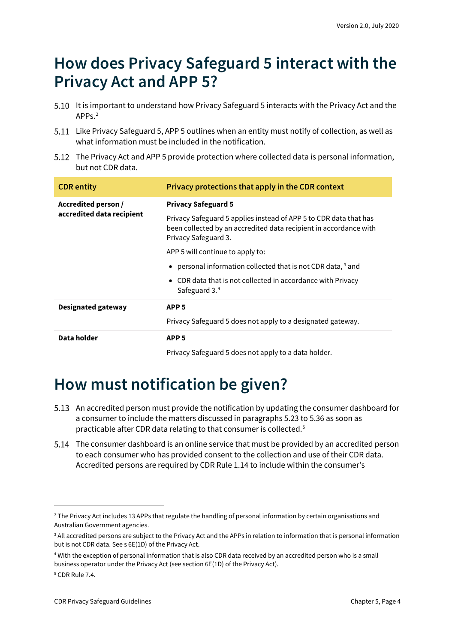## <span id="page-3-0"></span>**How does Privacy Safeguard 5 interact with the Privacy Act and APP 5?**

- 5.10 It is important to understand how Privacy Safeguard 5 interacts with the Privacy Act and the APP<sub>s</sub><sup>[2](#page-3-2)</sup>
- 5.11 Like Privacy Safeguard 5, APP 5 outlines when an entity must notify of collection, as well as what information must be included in the notification.
- 5.12 The Privacy Act and APP 5 provide protection where collected data is personal information, but not CDR data.

| <b>CDR</b> entity                                | Privacy protections that apply in the CDR context                                                                                                              |
|--------------------------------------------------|----------------------------------------------------------------------------------------------------------------------------------------------------------------|
| Accredited person /<br>accredited data recipient | <b>Privacy Safeguard 5</b>                                                                                                                                     |
|                                                  | Privacy Safeguard 5 applies instead of APP 5 to CDR data that has<br>been collected by an accredited data recipient in accordance with<br>Privacy Safeguard 3. |
|                                                  | APP 5 will continue to apply to:                                                                                                                               |
|                                                  | • personal information collected that is not CDR data, $3$ and                                                                                                 |
|                                                  | • CDR data that is not collected in accordance with Privacy<br>Safeguard 3.4                                                                                   |
| Designated gateway                               | APP <sub>5</sub>                                                                                                                                               |
|                                                  | Privacy Safeguard 5 does not apply to a designated gateway.                                                                                                    |
| Data holder                                      | APP <sub>5</sub>                                                                                                                                               |
|                                                  | Privacy Safeguard 5 does not apply to a data holder.                                                                                                           |

# <span id="page-3-1"></span>**How must notification be given?**

- 5.13 An accredited person must provide the notification by updating the consumer dashboard for a consumer to include the matters discussed in paragraphs 5.23 to 5.36 as soon as practicable after CDR data relating to that consumer is collected. [5](#page-3-5)
- The consumer dashboard is an online service that must be provided by an accredited person to each consumer who has provided consent to the collection and use of their CDR data. Accredited persons are required by CDR Rule 1.14 to include within the consumer's

<span id="page-3-2"></span><sup>&</sup>lt;sup>2</sup> The Privacy Act includes 13 APPs that regulate the handling of personal information by certain organisations and Australian Government agencies.

<span id="page-3-3"></span><sup>&</sup>lt;sup>3</sup> All accredited persons are subject to the Privacy Act and the APPs in relation to information that is personal information but is not CDR data. See s 6E(1D) of the Privacy Act.

<span id="page-3-4"></span><sup>4</sup> With the exception of personal information that is also CDR data received by an accredited person who is a small business operator under the Privacy Act (see section 6E(1D) of the Privacy Act).

<span id="page-3-5"></span><sup>5</sup> CDR Rule 7.4.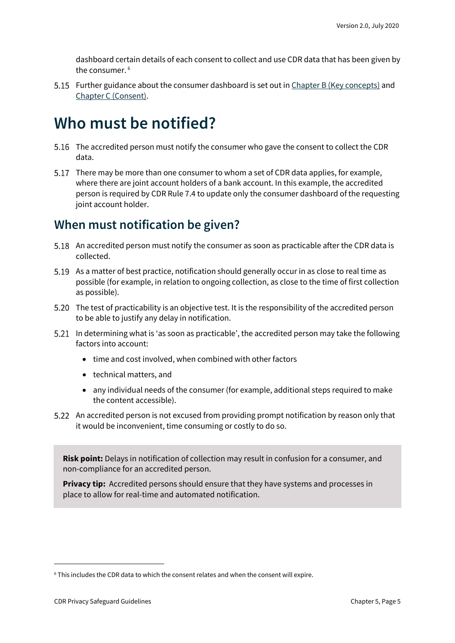dashboard certain details of each consent to collect and use CDR data that has been given by the consumer. [6](#page-4-2)

5.15 Further guidance about the consumer dashboard is set out i[n Chapter B \(Key concepts\)](https://www.oaic.gov.au/consumer-data-right/cdr-privacy-safeguard-guidelines/chapter-b-key-concepts) and [Chapter C \(Consent\).](https://www.oaic.gov.au/consumer-data-right/cdr-privacy-safeguard-guidelines/chapter-c-consent-the-basis-for-collecting-and-using-cdr-data/)

### <span id="page-4-0"></span>**Who must be notified?**

- 5.16 The accredited person must notify the consumer who gave the consent to collect the CDR data.
- There may be more than one consumer to whom a set of CDR data applies, for example, where there are joint account holders of a bank account. In this example, the accredited person is required by CDR Rule 7.4 to update only the consumer dashboard of the requesting joint account holder.

#### <span id="page-4-1"></span>**When must notification be given?**

- 5.18 An accredited person must notify the consumer as soon as practicable after the CDR data is collected.
- 5.19 As a matter of best practice, notification should generally occur in as close to real time as possible (for example, in relation to ongoing collection, as close to the time of first collection as possible).
- The test of practicability is an objective test. It is the responsibility of the accredited person to be able to justify any delay in notification.
- 5.21 In determining what is 'as soon as practicable', the accredited person may take the following factors into account:
	- time and cost involved, when combined with other factors
	- technical matters, and
	- any individual needs of the consumer (for example, additional steps required to make the content accessible).
- 5.22 An accredited person is not excused from providing prompt notification by reason only that it would be inconvenient, time consuming or costly to do so.

**Risk point:** Delays in notification of collection may result in confusion for a consumer, and non-compliance for an accredited person.

**Privacy tip:** Accredited persons should ensure that they have systems and processes in place to allow for real-time and automated notification.

<span id="page-4-2"></span> $6$  This includes the CDR data to which the consent relates and when the consent will expire.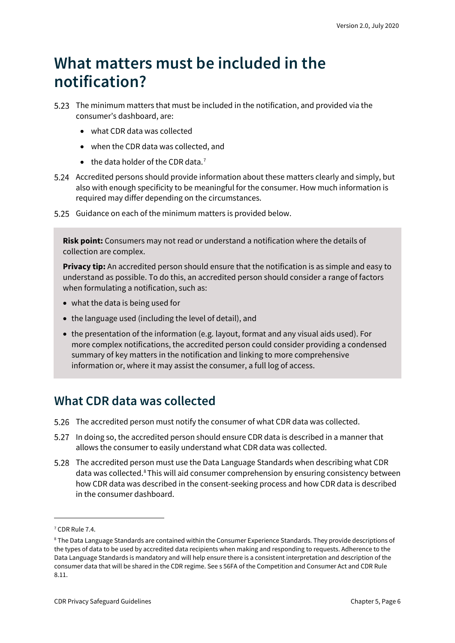## <span id="page-5-0"></span>**What matters must be included in the notification?**

- The minimum matters that must be included in the notification, and provided via the consumer's dashboard, are:
	- what CDR data was collected
	- when the CDR data was collected, and
	- $\bullet$  the data holder of the CDR data.<sup>[7](#page-5-2)</sup>
- Accredited persons should provide information about these matters clearly and simply, but also with enough specificity to be meaningful for the consumer. How much information is required may differ depending on the circumstances.
- 5.25 Guidance on each of the minimum matters is provided below.

**Risk point:** Consumers may not read or understand a notification where the details of collection are complex.

**Privacy tip:** An accredited person should ensure that the notification is as simple and easy to understand as possible. To do this, an accredited person should consider a range of factors when formulating a notification, such as:

- what the data is being used for
- the language used (including the level of detail), and
- the presentation of the information (e.g. layout, format and any visual aids used). For more complex notifications, the accredited person could consider providing a condensed summary of key matters in the notification and linking to more comprehensive information or, where it may assist the consumer, a full log of access.

#### <span id="page-5-1"></span>**What CDR data was collected**

- 5.26 The accredited person must notify the consumer of what CDR data was collected.
- In doing so, the accredited person should ensure CDR data is described in a manner that allows the consumer to easily understand what CDR data was collected.
- The accredited person must use the Data Language Standards when describing what CDR data was collected.<sup>[8](#page-5-3)</sup> This will aid consumer comprehension by ensuring consistency between how CDR data was described in the consent-seeking process and how CDR data is described in the consumer dashboard.

<span id="page-5-2"></span><sup>7</sup> CDR Rule 7.4.

<span id="page-5-3"></span><sup>8</sup> The Data Language Standards are contained within the Consumer Experience Standards. They provide descriptions of the types of data to be used by accredited data recipients when making and responding to requests. Adherence to the Data Language Standards is mandatory and will help ensure there is a consistent interpretation and description of the consumer data that will be shared in the CDR regime. See s 56FA of the Competition and Consumer Act and CDR Rule 8.11.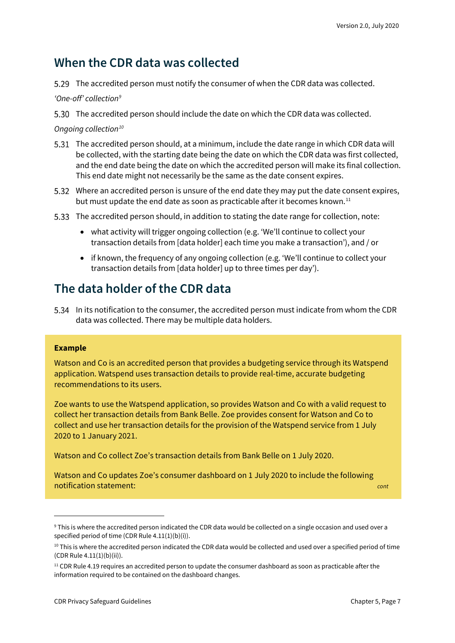#### <span id="page-6-0"></span>**When the CDR data was collected**

The accredited person must notify the consumer of when the CDR data was collected.

*'One-off' collection[9](#page-6-2)*

The accredited person should include the date on which the CDR data was collected.

*Ongoing collection[10](#page-6-3)*

- The accredited person should, at a minimum, include the date range in which CDR data will be collected, with the starting date being the date on which the CDR data was first collected, and the end date being the date on which the accredited person will make its final collection. This end date might not necessarily be the same as the date consent expires.
- Where an accredited person is unsure of the end date they may put the date consent expires, but must update the end date as soon as practicable after it becomes known.<sup>[11](#page-6-4)</sup>
- The accredited person should, in addition to stating the date range for collection, note:
	- what activity will trigger ongoing collection (e.g. 'We'll continue to collect your transaction details from [data holder] each time you make a transaction'), and / or
	- if known, the frequency of any ongoing collection (e.g. 'We'll continue to collect your transaction details from [data holder] up to three times per day').

#### <span id="page-6-1"></span>**The data holder of the CDR data**

In its notification to the consumer, the accredited person must indicate from whom the CDR data was collected. There may be multiple data holders.

#### **Example**

Watson and Co is an accredited person that provides a budgeting service through its Watspend application. Watspend uses transaction details to provide real-time, accurate budgeting recommendations to its users.

Zoe wants to use the Watspend application, so provides Watson and Co with a valid request to collect her transaction details from Bank Belle. Zoe provides consent for Watson and Co to collect and use her transaction details for the provision of the Watspend service from 1 July 2020 to 1 January 2021.

Watson and Co collect Zoe's transaction details from Bank Belle on 1 July 2020.

Watson and Co updates Zoe's consumer dashboard on 1 July 2020 to include the following notification statement: *cont*

<span id="page-6-2"></span><sup>9</sup> This is where the accredited person indicated the CDR data would be collected on a single occasion and used over a specified period of time (CDR Rule 4.11(1)(b)(i)).

<span id="page-6-3"></span> $10$  This is where the accredited person indicated the CDR data would be collected and used over a specified period of time (CDR Rule 4.11(1)(b)(ii)).

<span id="page-6-4"></span> $11$  CDR Rule 4.19 requires an accredited person to update the consumer dashboard as soon as practicable after the information required to be contained on the dashboard changes.